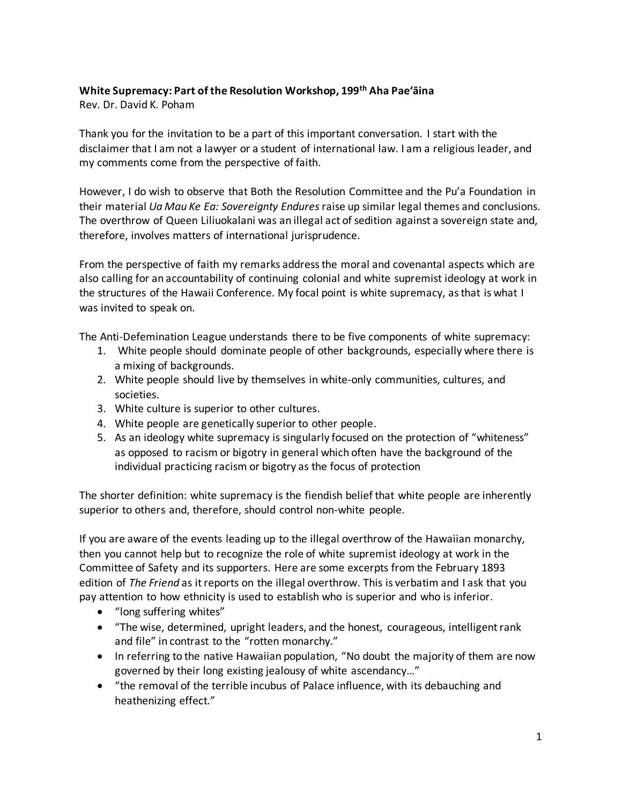## **White Supremacy: Part of the Resolution Workshop, 199th Aha Pae'āina**

Rev. Dr. David K. Poham

Thank you for the invitation to be a part of this important conversation. I start with the disclaimer that I am not a lawyer or a student of international law. I am a religious leader, and my comments come from the perspective of faith.

However, I do wish to observe that Both the Resolution Committee and the Pu'a Foundation in their material *Ua Mau Ke Ea: Sovereignty Endures* raise up similar legal themes and conclusions. The overthrow of Queen Liliuokalani was an illegal act of sedition against a sovereign state and, therefore, involves matters of international jurisprudence.

From the perspective of faith my remarks address the moral and covenantal aspects which are also calling for an accountability of continuing colonial and white supremist ideology at work in the structures of the Hawaii Conference. My focal point is white supremacy, as that is what I was invited to speak on.

The Anti-Defemination League understands there to be five components of white supremacy:

- 1. White people should dominate people of other backgrounds, especially where there is a mixing of backgrounds.
- 2. White people should live by themselves in white-only communities, cultures, and societies.
- 3. White culture is superior to other cultures.
- 4. White people are genetically superior to other people.
- 5. As an ideology white supremacy is singularly focused on the protection of "whiteness" as opposed to racism or bigotry in general which often have the background of the individual practicing racism or bigotry as the focus of protection

The shorter definition: white supremacy is the fiendish belief that white people are inherently superior to others and, therefore, should control non-white people.

If you are aware of the events leading up to the illegal overthrow of the Hawaiian monarchy, then you cannot help but to recognize the role of white supremist ideology at work in the Committee of Safety and its supporters. Here are some excerpts from the February 1893 edition of *The Friend* as it reports on the illegal overthrow. This is verbatim and I ask that you pay attention to how ethnicity is used to establish who is superior and who is inferior.

- "long suffering whites"
- "The wise, determined, upright leaders, and the honest, courageous, intelligent rank and file" in contrast to the "rotten monarchy."
- In referring to the native Hawaiian population, "No doubt the majority of them are now governed by their long existing jealousy of white ascendancy…"
- "the removal of the terrible incubus of Palace influence, with its debauching and heathenizing effect."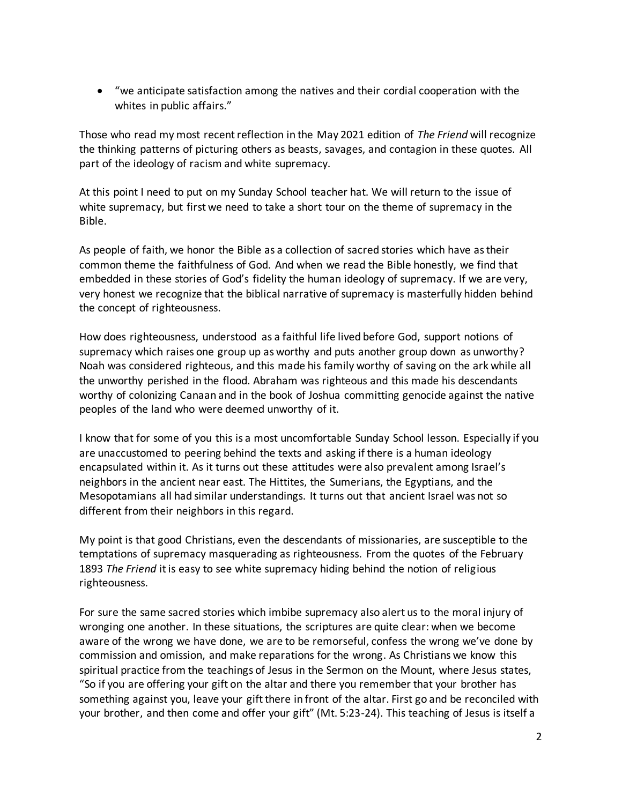• "we anticipate satisfaction among the natives and their cordial cooperation with the whites in public affairs."

Those who read my most recent reflection in the May 2021 edition of *The Friend* will recognize the thinking patterns of picturing others as beasts, savages, and contagion in these quotes. All part of the ideology of racism and white supremacy.

At this point I need to put on my Sunday School teacher hat. We will return to the issue of white supremacy, but first we need to take a short tour on the theme of supremacy in the Bible.

As people of faith, we honor the Bible as a collection of sacred stories which have as their common theme the faithfulness of God. And when we read the Bible honestly, we find that embedded in these stories of God's fidelity the human ideology of supremacy. If we are very, very honest we recognize that the biblical narrative of supremacy is masterfully hidden behind the concept of righteousness.

How does righteousness, understood as a faithful life lived before God, support notions of supremacy which raises one group up as worthy and puts another group down as unworthy? Noah was considered righteous, and this made his family worthy of saving on the ark while all the unworthy perished in the flood. Abraham was righteous and this made his descendants worthy of colonizing Canaan and in the book of Joshua committing genocide against the native peoples of the land who were deemed unworthy of it.

I know that for some of you this is a most uncomfortable Sunday School lesson. Especially if you are unaccustomed to peering behind the texts and asking if there is a human ideology encapsulated within it. As it turns out these attitudes were also prevalent among Israel's neighbors in the ancient near east. The Hittites, the Sumerians, the Egyptians, and the Mesopotamians all had similar understandings. It turns out that ancient Israel was not so different from their neighbors in this regard.

My point is that good Christians, even the descendants of missionaries, are susceptible to the temptations of supremacy masquerading as righteousness. From the quotes of the February 1893 *The Friend* it is easy to see white supremacy hiding behind the notion of religious righteousness.

For sure the same sacred stories which imbibe supremacy also alert us to the moral injury of wronging one another. In these situations, the scriptures are quite clear: when we become aware of the wrong we have done, we are to be remorseful, confess the wrong we've done by commission and omission, and make reparations for the wrong. As Christians we know this spiritual practice from the teachings of Jesus in the Sermon on the Mount, where Jesus states, "So if you are offering your gift on the altar and there you remember that your brother has something against you, leave your gift there in front of the altar. First go and be reconciled with your brother, and then come and offer your gift" (Mt. 5:23-24). This teaching of Jesus is itself a